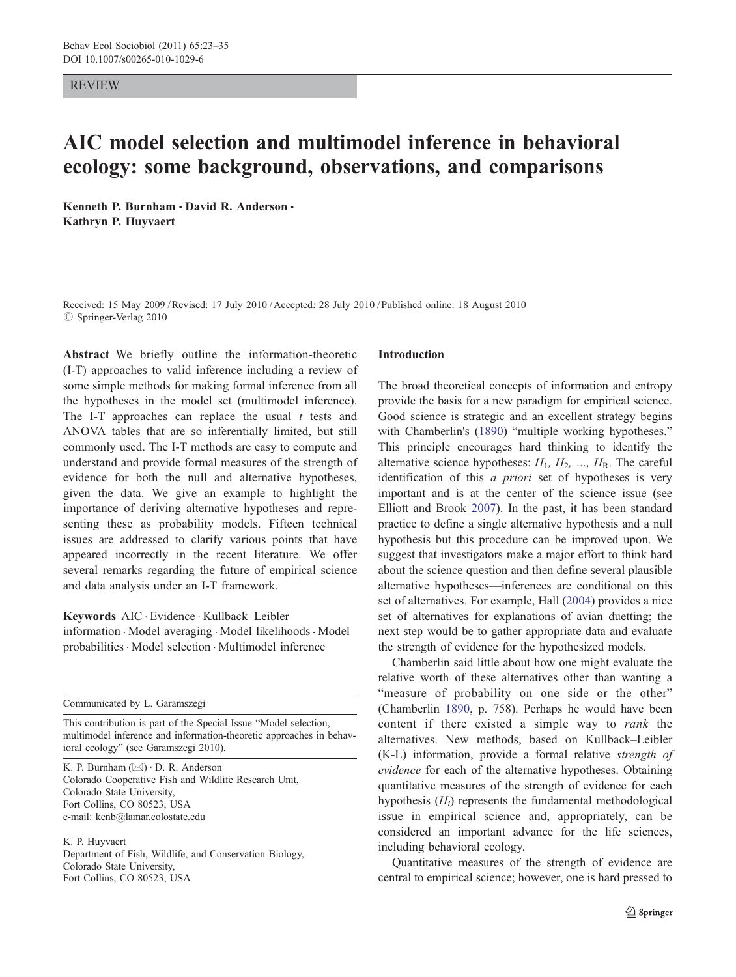#### REVIEW

# AIC model selection and multimodel inference in behavioral ecology: some background, observations, and comparisons

Kenneth P. Burnham · David R. Anderson · Kathryn P. Huyvaert

Received: 15 May 2009 /Revised: 17 July 2010 /Accepted: 28 July 2010 / Published online: 18 August 2010  $©$  Springer-Verlag 2010

Abstract We briefly outline the information-theoretic (I-T) approaches to valid inference including a review of some simple methods for making formal inference from all the hypotheses in the model set (multimodel inference). The I-T approaches can replace the usual  $t$  tests and ANOVA tables that are so inferentially limited, but still commonly used. The I-T methods are easy to compute and understand and provide formal measures of the strength of evidence for both the null and alternative hypotheses, given the data. We give an example to highlight the importance of deriving alternative hypotheses and representing these as probability models. Fifteen technical issues are addressed to clarify various points that have appeared incorrectly in the recent literature. We offer several remarks regarding the future of empirical science and data analysis under an I-T framework.

Keywords AIC . Evidence . Kullback–Leibler information . Model averaging . Model likelihoods. Model probabilities. Model selection . Multimodel inference

Communicated by L. Garamszegi

This contribution is part of the Special Issue "Model selection, multimodel inference and information-theoretic approaches in behavioral ecology" (see Garamszegi 2010).

K. P. Burnham  $(\boxtimes) \cdot$  D. R. Anderson Colorado Cooperative Fish and Wildlife Research Unit, Colorado State University, Fort Collins, CO 80523, USA e-mail: kenb@lamar.colostate.edu

K. P. Huyvaert Department of Fish, Wildlife, and Conservation Biology, Colorado State University, Fort Collins, CO 80523, USA

#### Introduction

The broad theoretical concepts of information and entropy provide the basis for a new paradigm for empirical science. Good science is strategic and an excellent strategy begins with Chamberlin's [\(1890](#page-11-0)) "multiple working hypotheses." This principle encourages hard thinking to identify the alternative science hypotheses:  $H_1$ ,  $H_2$ , ...,  $H_R$ . The careful identification of this a priori set of hypotheses is very important and is at the center of the science issue (see Elliott and Brook [2007\)](#page-11-0). In the past, it has been standard practice to define a single alternative hypothesis and a null hypothesis but this procedure can be improved upon. We suggest that investigators make a major effort to think hard about the science question and then define several plausible alternative hypotheses—inferences are conditional on this set of alternatives. For example, Hall [\(2004](#page-11-0)) provides a nice set of alternatives for explanations of avian duetting; the next step would be to gather appropriate data and evaluate the strength of evidence for the hypothesized models.

Chamberlin said little about how one might evaluate the relative worth of these alternatives other than wanting a "measure of probability on one side or the other" (Chamberlin [1890](#page-11-0), p. 758). Perhaps he would have been content if there existed a simple way to rank the alternatives. New methods, based on Kullback–Leibler (K-L) information, provide a formal relative strength of evidence for each of the alternative hypotheses. Obtaining quantitative measures of the strength of evidence for each hypothesis  $(H<sub>i</sub>)$  represents the fundamental methodological issue in empirical science and, appropriately, can be considered an important advance for the life sciences, including behavioral ecology.

Quantitative measures of the strength of evidence are central to empirical science; however, one is hard pressed to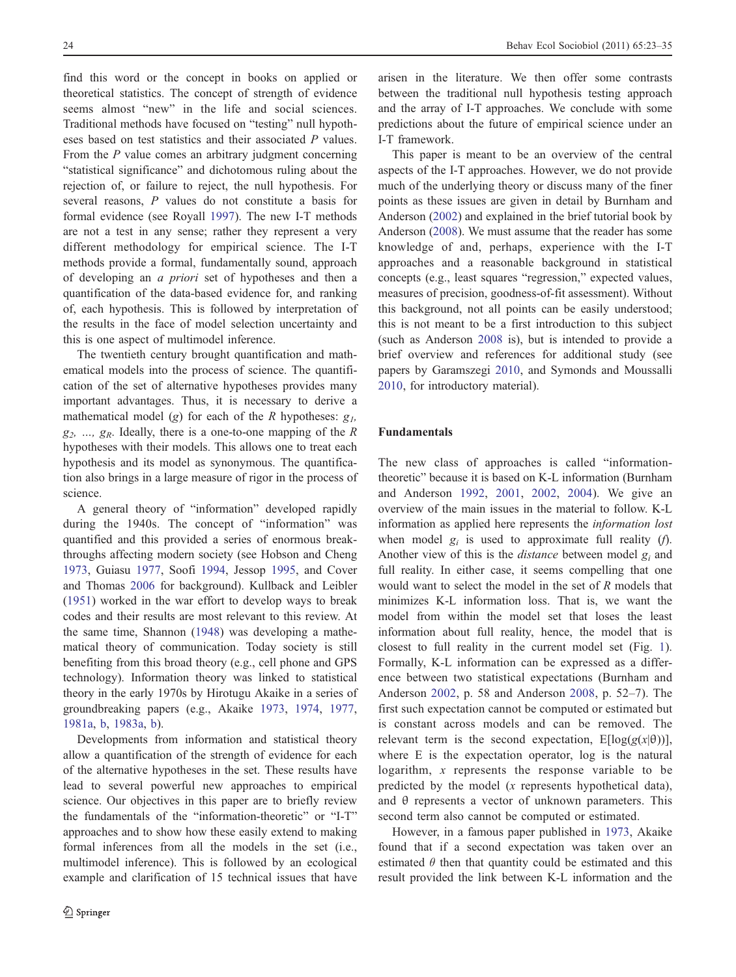find this word or the concept in books on applied or theoretical statistics. The concept of strength of evidence seems almost "new" in the life and social sciences. Traditional methods have focused on "testing" null hypotheses based on test statistics and their associated P values. From the  $P$  value comes an arbitrary judgment concerning "statistical significance" and dichotomous ruling about the rejection of, or failure to reject, the null hypothesis. For several reasons, P values do not constitute a basis for formal evidence (see Royall [1997\)](#page-12-0). The new I-T methods are not a test in any sense; rather they represent a very different methodology for empirical science. The I-T methods provide a formal, fundamentally sound, approach of developing an a priori set of hypotheses and then a quantification of the data-based evidence for, and ranking of, each hypothesis. This is followed by interpretation of the results in the face of model selection uncertainty and this is one aspect of multimodel inference.

The twentieth century brought quantification and mathematical models into the process of science. The quantification of the set of alternative hypotheses provides many important advantages. Thus, it is necessary to derive a mathematical model (g) for each of the R hypotheses:  $g_l$ ,  $g_2, ..., g_R$ . Ideally, there is a one-to-one mapping of the R hypotheses with their models. This allows one to treat each hypothesis and its model as synonymous. The quantification also brings in a large measure of rigor in the process of science.

A general theory of "information" developed rapidly during the 1940s. The concept of "information" was quantified and this provided a series of enormous breakthroughs affecting modern society (see Hobson and Cheng [1973,](#page-11-0) Guiasu [1977](#page-11-0), Soofi [1994,](#page-12-0) Jessop [1995](#page-12-0), and Cover and Thomas [2006](#page-11-0) for background). Kullback and Leibler [\(1951](#page-12-0)) worked in the war effort to develop ways to break codes and their results are most relevant to this review. At the same time, Shannon [\(1948](#page-12-0)) was developing a mathematical theory of communication. Today society is still benefiting from this broad theory (e.g., cell phone and GPS technology). Information theory was linked to statistical theory in the early 1970s by Hirotugu Akaike in a series of groundbreaking papers (e.g., Akaike [1973,](#page-11-0) [1974,](#page-11-0) [1977,](#page-11-0) [1981a](#page-11-0), [b](#page-11-0), [1983a](#page-11-0), [b\)](#page-11-0).

Developments from information and statistical theory allow a quantification of the strength of evidence for each of the alternative hypotheses in the set. These results have lead to several powerful new approaches to empirical science. Our objectives in this paper are to briefly review the fundamentals of the "information-theoretic" or "I-T" approaches and to show how these easily extend to making formal inferences from all the models in the set (i.e., multimodel inference). This is followed by an ecological example and clarification of 15 technical issues that have

arisen in the literature. We then offer some contrasts between the traditional null hypothesis testing approach and the array of I-T approaches. We conclude with some predictions about the future of empirical science under an I-T framework.

This paper is meant to be an overview of the central aspects of the I-T approaches. However, we do not provide much of the underlying theory or discuss many of the finer points as these issues are given in detail by Burnham and Anderson ([2002\)](#page-11-0) and explained in the brief tutorial book by Anderson ([2008\)](#page-11-0). We must assume that the reader has some knowledge of and, perhaps, experience with the I-T approaches and a reasonable background in statistical concepts (e.g., least squares "regression," expected values, measures of precision, goodness-of-fit assessment). Without this background, not all points can be easily understood; this is not meant to be a first introduction to this subject (such as Anderson [2008](#page-11-0) is), but is intended to provide a brief overview and references for additional study (see papers by Garamszegi [2010](#page-11-0), and Symonds and Moussalli [2010](#page-12-0), for introductory material).

#### Fundamentals

The new class of approaches is called "informationtheoretic" because it is based on K-L information (Burnham and Anderson [1992](#page-11-0), [2001,](#page-11-0) [2002,](#page-11-0) [2004\)](#page-11-0). We give an overview of the main issues in the material to follow. K-L information as applied here represents the information lost when model  $g_i$  is used to approximate full reality (*f*). Another view of this is the *distance* between model  $g_i$  and full reality. In either case, it seems compelling that one would want to select the model in the set of R models that minimizes K-L information loss. That is, we want the model from within the model set that loses the least information about full reality, hence, the model that is closest to full reality in the current model set (Fig. [1\)](#page-2-0). Formally, K-L information can be expressed as a difference between two statistical expectations (Burnham and Anderson [2002](#page-11-0), p. 58 and Anderson [2008,](#page-11-0) p. 52–7). The first such expectation cannot be computed or estimated but is constant across models and can be removed. The relevant term is the second expectation,  $E[log(g(x|\theta))],$ where E is the expectation operator, log is the natural logarithm, x represents the response variable to be predicted by the model (x represents hypothetical data), and  $\theta$  represents a vector of unknown parameters. This second term also cannot be computed or estimated.

However, in a famous paper published in [1973,](#page-11-0) Akaike found that if a second expectation was taken over an estimated  $\theta$  then that quantity could be estimated and this result provided the link between K-L information and the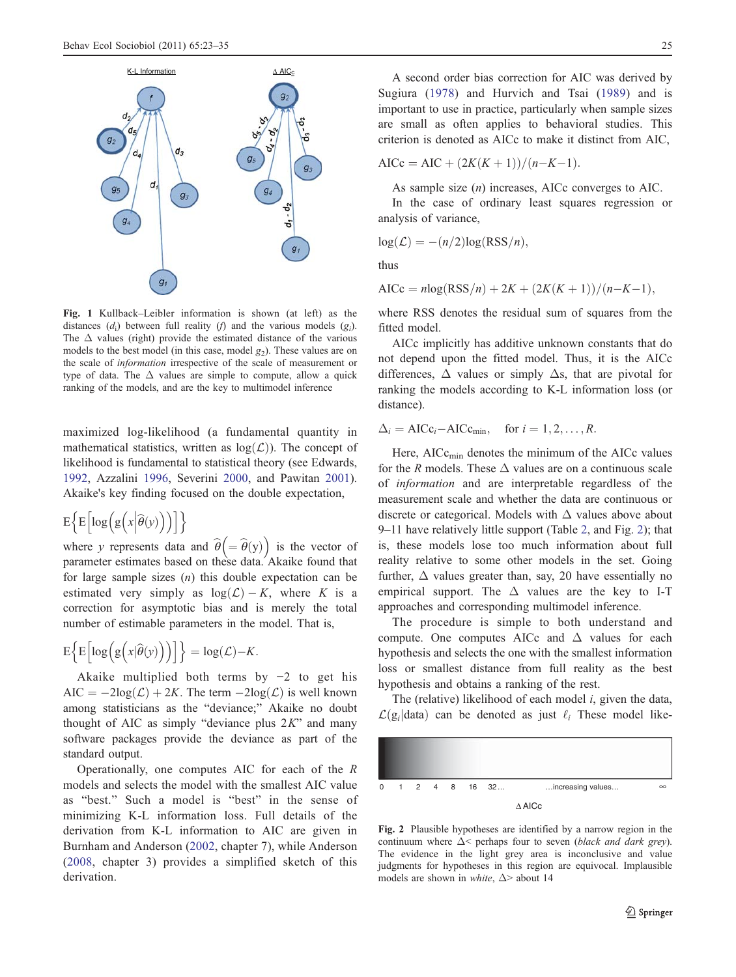<span id="page-2-0"></span>

Fig. 1 Kullback–Leibler information is shown (at left) as the distances  $(d_i)$  between full reality  $(f)$  and the various models  $(g_i)$ . The  $\Delta$  values (right) provide the estimated distance of the various models to the best model (in this case, model  $g_2$ ). These values are on the scale of information irrespective of the scale of measurement or type of data. The  $\Delta$  values are simple to compute, allow a quick ranking of the models, and are the key to multimodel inference

maximized log-likelihood (a fundamental quantity in mathematical statistics, written as  $log(\mathcal{L})$ ). The concept of likelihood is fundamental to statistical theory (see Edwards, [1992,](#page-11-0) Azzalini [1996](#page-11-0), Severini [2000,](#page-12-0) and Pawitan [2001](#page-12-0)). Akaike's key finding focused on the double expectation,

# $E\Big\{E\Big[log\Big(g\Big(x\Big|\widehat{\theta}(y)\Big)\Big)\Big]\Big\}$

where y represents data and  $\hat{\theta} = \hat{\theta}(y)$  is the vector of parameter estimates based on these data. Akaika found that parameter estimates based on these data. Akaike found that for large sample sizes  $(n)$  this double expectation can be estimated very simply as  $log(\mathcal{L}) - K$ , where K is a correction for asymptotic bias and is merely the total correction for asymptotic bias and is merely the total number of estimable parameters in the model. That is,

$$
E\Big\{E\Big[\log\Big(g\Big(x|\widehat{\theta}(y)\Big)\Big)\Big]\Big\} = \log(\mathcal{L}) - K.
$$

Akaike multiplied both terms by −2 to get his  $AIC = -2\log(\mathcal{L}) + 2K$ . The term  $-2\log(\mathcal{L})$  is well known<br>among statisticians as the "deviance". Akaike no doubt among statisticians as the "deviance;" Akaike no doubt thought of AIC as simply "deviance plus  $2K$ " and many software packages provide the deviance as part of the standard output.

Operationally, one computes AIC for each of the R models and selects the model with the smallest AIC value as "best." Such a model is "best" in the sense of minimizing K-L information loss. Full details of the derivation from K-L information to AIC are given in Burnham and Anderson ([2002,](#page-11-0) chapter 7), while Anderson [\(2008,](#page-11-0) chapter 3) provides a simplified sketch of this derivation.

A second order bias correction for AIC was derived by Sugiura ([1978\)](#page-12-0) and Hurvich and Tsai [\(1989\)](#page-12-0) and is important to use in practice, particularly when sample sizes are small as often applies to behavioral studies. This criterion is denoted as AICc to make it distinct from AIC,

$$
AICc = AIC + (2K(K+1))/(n-K-1).
$$

As sample size (n) increases, AICc converges to AIC.

In the case of ordinary least squares regression or analysis of variance,

$$
\log(\mathcal{L}) = -(n/2)\log(\text{RSS}/n),
$$

thus

$$
AICc = n \log(RSS/n) + 2K + (2K(K+1))/(n-K-1),
$$

where RSS denotes the residual sum of squares from the fitted model.

AICc implicitly has additive unknown constants that do not depend upon the fitted model. Thus, it is the AICc differences,  $\Delta$  values or simply  $\Delta$ s, that are pivotal for ranking the models according to K-L information loss (or distance).

$$
\Delta_i = \text{AICc}_i - \text{AICc}_{\min}, \quad \text{for } i = 1, 2, \dots, R.
$$

Here,  $AICc_{min}$  denotes the minimum of the  $AICc$  values for the R models. These  $\Delta$  values are on a continuous scale of information and are interpretable regardless of the measurement scale and whether the data are continuous or discrete or categorical. Models with  $\Delta$  values above about 9–11 have relatively little support (Table [2](#page-4-0), and Fig. 2); that is, these models lose too much information about full reality relative to some other models in the set. Going further,  $\Delta$  values greater than, say, 20 have essentially no empirical support. The  $\Delta$  values are the key to I-T approaches and corresponding multimodel inference.

The procedure is simple to both understand and compute. One computes AICc and  $\Delta$  values for each hypothesis and selects the one with the smallest information loss or smallest distance from full reality as the best hypothesis and obtains a ranking of the rest.

The (relative) likelihood of each model  $i$ , given the data,  $\mathcal{L}(\mathbf{g}_i | \text{data})$  can be denoted as just  $\ell_i$  These model like-



Fig. 2 Plausible hypotheses are identified by a narrow region in the continuum where  $\Delta$ < perhaps four to seven (black and dark grey). The evidence in the light grey area is inconclusive and value judgments for hypotheses in this region are equivocal. Implausible models are shown in white,  $\Delta$  about 14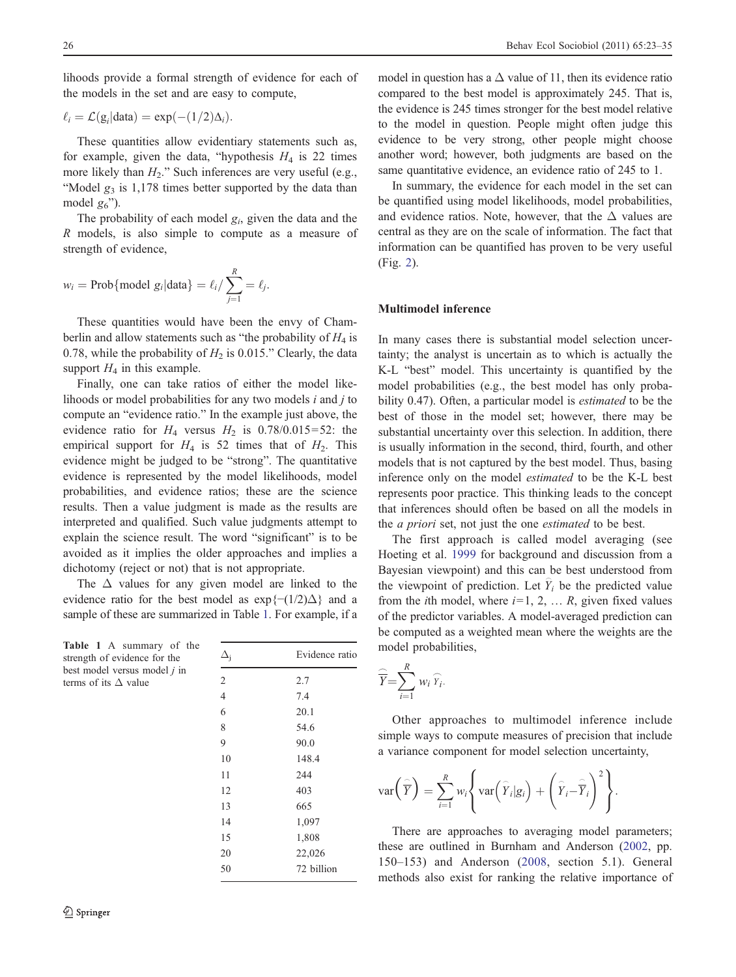lihoods provide a formal strength of evidence for each of the models in the set and are easy to compute,

$$
\ell_i = \mathcal{L}(g_i|data) = \exp(-(1/2)\Delta_i).
$$

These quantities allow evidentiary statements such as, for example, given the data, "hypothesis  $H_4$  is 22 times more likely than  $H_2$ ." Such inferences are very useful (e.g., "Model  $g_3$  is 1,178 times better supported by the data than model  $g_6$ ").

The probability of each model  $g_i$ , given the data and the R models, is also simple to compute as a measure of strength of evidence,

$$
w_i = \text{Prob}\{\text{model } g_i | \text{data}\} = \ell_i / \sum_{j=1}^R = \ell_j.
$$

These quantities would have been the envy of Chamberlin and allow statements such as "the probability of  $H_4$  is 0.78, while the probability of  $H_2$  is 0.015." Clearly, the data support  $H_4$  in this example.

Finally, one can take ratios of either the model likelihoods or model probabilities for any two models  $i$  and  $j$  to compute an "evidence ratio." In the example just above, the evidence ratio for  $H_4$  versus  $H_2$  is 0.78/0.015=52: the empirical support for  $H_4$  is 52 times that of  $H_2$ . This evidence might be judged to be "strong". The quantitative evidence is represented by the model likelihoods, model probabilities, and evidence ratios; these are the science results. Then a value judgment is made as the results are interpreted and qualified. Such value judgments attempt to explain the science result. The word "significant" is to be avoided as it implies the older approaches and implies a dichotomy (reject or not) that is not appropriate.

The  $\Delta$  values for any given model are linked to the evidence ratio for the best model as  $\exp\{-\frac{1}{2}\Delta\}$  and a sample of these are summarized in Table 1. For example, if a

|                              |  |  | <b>Table 1</b> A summary of the     |  |  |
|------------------------------|--|--|-------------------------------------|--|--|
| strength of evidence for the |  |  |                                     |  |  |
|                              |  |  | best model versus model <i>i</i> in |  |  |
| terms of its $\Delta$ value  |  |  |                                     |  |  |

|                | Evidence ratio |
|----------------|----------------|
| $\mathfrak{2}$ | 2.7            |
| $\overline{4}$ | 7.4            |
| 6              | 20.1           |
| 8              | 54.6           |
| 9              | 90.0           |
| 10             | 148.4          |
| 11             | 244            |
| 12             | 403            |
| 13             | 665            |
| 14             | 1,097          |
| 15             | 1,808          |
| 20             | 22,026         |
| 50             | 72 billion     |
|                |                |

model in question has a  $\Delta$  value of 11, then its evidence ratio compared to the best model is approximately 245. That is, the evidence is 245 times stronger for the best model relative to the model in question. People might often judge this evidence to be very strong, other people might choose another word; however, both judgments are based on the same quantitative evidence, an evidence ratio of 245 to 1.

In summary, the evidence for each model in the set can be quantified using model likelihoods, model probabilities, and evidence ratios. Note, however, that the  $\Delta$  values are central as they are on the scale of information. The fact that information can be quantified has proven to be very useful (Fig. [2](#page-2-0)).

# Multimodel inference

In many cases there is substantial model selection uncertainty; the analyst is uncertain as to which is actually the K-L "best" model. This uncertainty is quantified by the model probabilities (e.g., the best model has only probability 0.47). Often, a particular model is *estimated* to be the best of those in the model set; however, there may be substantial uncertainty over this selection. In addition, there is usually information in the second, third, fourth, and other models that is not captured by the best model. Thus, basing inference only on the model estimated to be the K-L best represents poor practice. This thinking leads to the concept that inferences should often be based on all the models in the *a priori* set, not just the one *estimated* to be best.

The first approach is called model averaging (see Hoeting et al. [1999](#page-12-0) for background and discussion from a Bayesian viewpoint) and this can be best understood from the viewpoint of prediction. Let  $\hat{Y}_i$  be the predicted value from the *i*th model, where  $i=1, 2, \ldots R$ , given fixed values of the predictor variables. A model-averaged prediction can be computed as a weighted mean where the weights are the model probabilities,

$$
\widehat{\overline{Y}} = \sum_{i=1}^{R} w_i \widehat{Y}_i.
$$

Other approaches to multimodel inference include simple ways to compute measures of precision that include a variance component for model selection uncertainty,

$$
\text{var}\left(\widehat{\overline{Y}}\right) = \sum_{i=1}^{R} w_i \left\{ \text{var}\left(\widehat{Y}_i | g_i\right) + \left(\widehat{Y}_i - \widehat{\overline{Y}}_i\right)^2 \right\}.
$$

There are approaches to averaging model parameters; these are outlined in Burnham and Anderson ([2002,](#page-11-0) pp. 150–153) and Anderson [\(2008,](#page-11-0) section 5.1). General methods also exist for ranking the relative importance of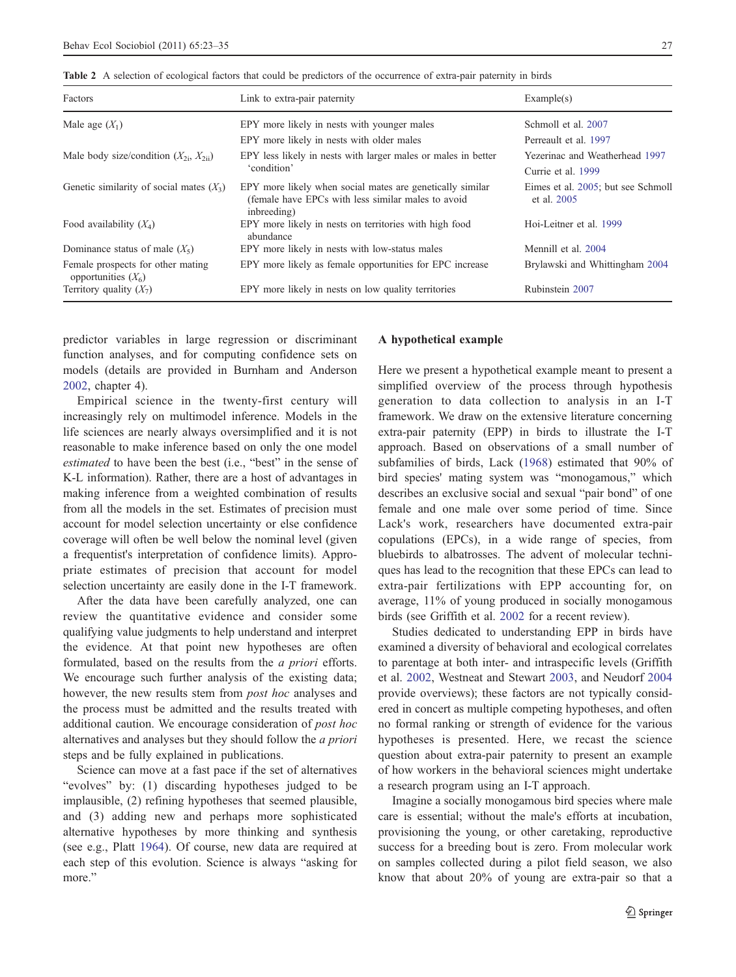<span id="page-4-0"></span>

| <b>Table 2</b> A selection of ecological factors that could be predictors of the occurrence of extra-pair paternity in birds |                                                                                                                                                                                                                               |  |  |  |
|------------------------------------------------------------------------------------------------------------------------------|-------------------------------------------------------------------------------------------------------------------------------------------------------------------------------------------------------------------------------|--|--|--|
|                                                                                                                              | the second contract the contract of the second second second second second second second second second second second second second second second second second second second second second second second second second second |  |  |  |

| Factors                                                    | Link to extra-pair paternity                                                                                                   | Example(s)                                        |  |
|------------------------------------------------------------|--------------------------------------------------------------------------------------------------------------------------------|---------------------------------------------------|--|
| Male age $(X_1)$                                           | EPY more likely in nests with younger males                                                                                    | Schmoll et al. 2007                               |  |
|                                                            | EPY more likely in nests with older males                                                                                      | Perreault et al. 1997                             |  |
| Male body size/condition $(X_{2i}, X_{2ii})$               | EPY less likely in nests with larger males or males in better                                                                  | Yezerinac and Weatherhead 1997                    |  |
|                                                            | 'condition'                                                                                                                    | Currie et al. 1999                                |  |
| Genetic similarity of social mates $(X_3)$                 | EPY more likely when social mates are genetically similar<br>(female have EPCs with less similar males to avoid<br>inbreeding) | Eimes et al. 2005; but see Schmoll<br>et al. 2005 |  |
| Food availability $(X_4)$                                  | EPY more likely in nests on territories with high food<br>abundance                                                            | Hoi-Leitner et al. 1999                           |  |
| Dominance status of male $(X_5)$                           | EPY more likely in nests with low-status males                                                                                 | Mennill et al. 2004                               |  |
| Female prospects for other mating<br>opportunities $(X_6)$ | EPY more likely as female opportunities for EPC increase                                                                       | Brylawski and Whittingham 2004                    |  |
| Territory quality $(X_7)$                                  | EPY more likely in nests on low quality territories                                                                            | Rubinstein 2007                                   |  |

predictor variables in large regression or discriminant function analyses, and for computing confidence sets on models (details are provided in Burnham and Anderson [2002,](#page-11-0) chapter 4).

Empirical science in the twenty-first century will increasingly rely on multimodel inference. Models in the life sciences are nearly always oversimplified and it is not reasonable to make inference based on only the one model estimated to have been the best (i.e., "best" in the sense of K-L information). Rather, there are a host of advantages in making inference from a weighted combination of results from all the models in the set. Estimates of precision must account for model selection uncertainty or else confidence coverage will often be well below the nominal level (given a frequentist's interpretation of confidence limits). Appropriate estimates of precision that account for model selection uncertainty are easily done in the I-T framework.

After the data have been carefully analyzed, one can review the quantitative evidence and consider some qualifying value judgments to help understand and interpret the evidence. At that point new hypotheses are often formulated, based on the results from the *a priori* efforts. We encourage such further analysis of the existing data; however, the new results stem from post hoc analyses and the process must be admitted and the results treated with additional caution. We encourage consideration of post hoc alternatives and analyses but they should follow the a priori steps and be fully explained in publications.

Science can move at a fast pace if the set of alternatives "evolves" by: (1) discarding hypotheses judged to be implausible, (2) refining hypotheses that seemed plausible, and (3) adding new and perhaps more sophisticated alternative hypotheses by more thinking and synthesis (see e.g., Platt [1964](#page-12-0)). Of course, new data are required at each step of this evolution. Science is always "asking for more."

### A hypothetical example

Here we present a hypothetical example meant to present a simplified overview of the process through hypothesis generation to data collection to analysis in an I-T framework. We draw on the extensive literature concerning extra-pair paternity (EPP) in birds to illustrate the I-T approach. Based on observations of a small number of subfamilies of birds, Lack ([1968\)](#page-12-0) estimated that 90% of bird species' mating system was "monogamous," which describes an exclusive social and sexual "pair bond" of one female and one male over some period of time. Since Lack's work, researchers have documented extra-pair copulations (EPCs), in a wide range of species, from bluebirds to albatrosses. The advent of molecular techniques has lead to the recognition that these EPCs can lead to extra-pair fertilizations with EPP accounting for, on average, 11% of young produced in socially monogamous birds (see Griffith et al. [2002](#page-11-0) for a recent review).

Studies dedicated to understanding EPP in birds have examined a diversity of behavioral and ecological correlates to parentage at both inter- and intraspecific levels (Griffith et al. [2002](#page-11-0), Westneat and Stewart [2003,](#page-12-0) and Neudorf [2004](#page-12-0) provide overviews); these factors are not typically considered in concert as multiple competing hypotheses, and often no formal ranking or strength of evidence for the various hypotheses is presented. Here, we recast the science question about extra-pair paternity to present an example of how workers in the behavioral sciences might undertake a research program using an I-T approach.

Imagine a socially monogamous bird species where male care is essential; without the male's efforts at incubation, provisioning the young, or other caretaking, reproductive success for a breeding bout is zero. From molecular work on samples collected during a pilot field season, we also know that about 20% of young are extra-pair so that a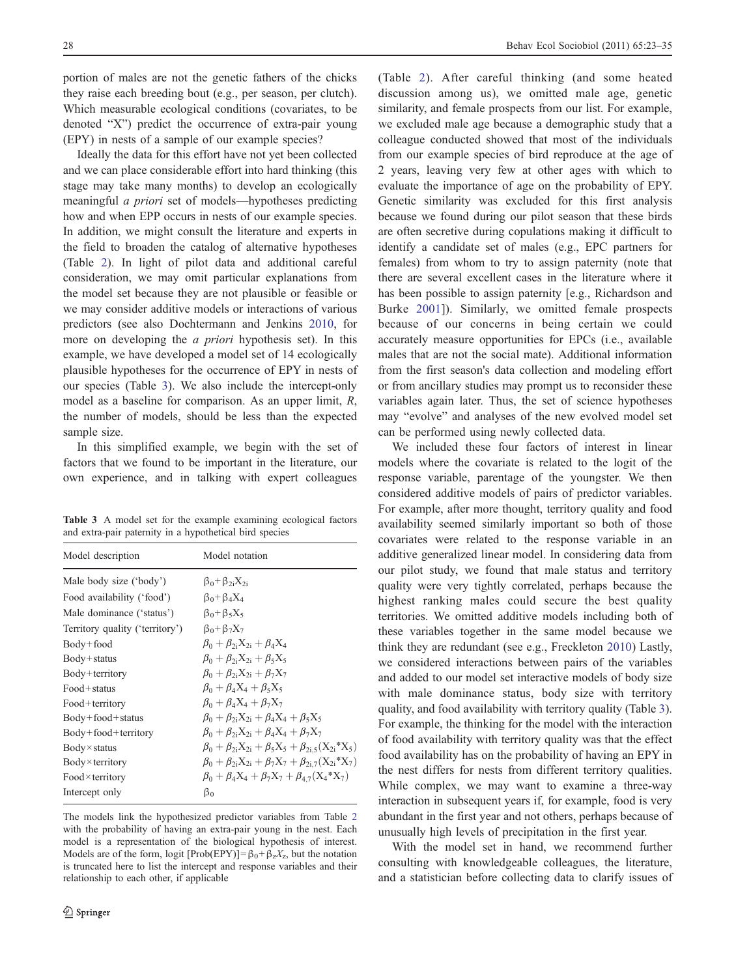portion of males are not the genetic fathers of the chicks they raise each breeding bout (e.g., per season, per clutch). Which measurable ecological conditions (covariates, to be denoted "X") predict the occurrence of extra-pair young (EPY) in nests of a sample of our example species?

Ideally the data for this effort have not yet been collected and we can place considerable effort into hard thinking (this stage may take many months) to develop an ecologically meaningful a priori set of models—hypotheses predicting how and when EPP occurs in nests of our example species. In addition, we might consult the literature and experts in the field to broaden the catalog of alternative hypotheses (Table [2\)](#page-4-0). In light of pilot data and additional careful consideration, we may omit particular explanations from the model set because they are not plausible or feasible or we may consider additive models or interactions of various predictors (see also Dochtermann and Jenkins [2010](#page-11-0), for more on developing the *a priori* hypothesis set). In this example, we have developed a model set of 14 ecologically plausible hypotheses for the occurrence of EPY in nests of our species (Table 3). We also include the intercept-only model as a baseline for comparison. As an upper limit, R, the number of models, should be less than the expected sample size.

In this simplified example, we begin with the set of factors that we found to be important in the literature, our own experience, and in talking with expert colleagues

Table 3 A model set for the example examining ecological factors and extra-pair paternity in a hypothetical bird species

| Model description               | Model notation                                                         |
|---------------------------------|------------------------------------------------------------------------|
| Male body size ('body')         | $\beta_0 + \beta_2$ <sub>i</sub> $X_2$ <sub>i</sub>                    |
| Food availability ('food')      | $\beta_0 + \beta_4 X_4$                                                |
| Male dominance ('status')       | $\beta_0 + \beta_5 X_5$                                                |
| Territory quality ('territory') | $\beta_0 + \beta_7 X_7$                                                |
| Body+food                       | $\beta_0 + \beta_{2i}X_{2i} + \beta_4X_4$                              |
| Body+status                     | $\beta_0 + \beta_2 X_2 + \beta_5 X_5$                                  |
| Body+territory                  | $\beta_0 + \beta_2 X_2 + \beta_7 X_7$                                  |
| Food+status                     | $\beta_0 + \beta_4 X_4 + \beta_5 X_5$                                  |
| Food+territory                  | $\beta_0 + \beta_4 X_4 + \beta_7 X_7$                                  |
| Body+food+status                | $\beta_0 + \beta_{2i}X_{2i} + \beta_4X_4 + \beta_5X_5$                 |
| $Body+food+territory$           | $\beta_0 + \beta_2 X_2 + \beta_4 X_4 + \beta_7 X_7$                    |
| $Body \times status$            | $\beta_0 + \beta_{2i}X_{2i} + \beta_5X_5 + \beta_{2i.5}(X_{2i} * X_5)$ |
| $Body \times$ territory         | $\beta_0 + \beta_{2i}X_{2i} + \beta_7X_7 + \beta_{2i}T(X_{2i}^*X_7)$   |
| $Food \times$ territory         | $\beta_0 + \beta_4 X_4 + \beta_7 X_7 + \beta_{4.7} (X_4 * X_7)$        |
| Intercept only                  | $\beta_0$                                                              |
|                                 |                                                                        |

The models link the hypothesized predictor variables from Table [2](#page-4-0) with the probability of having an extra-pair young in the nest. Each model is a representation of the biological hypothesis of interest. Models are of the form, logit  $[Prob(EPY)] = \beta_0 + \beta_z X_z$ , but the notation is truncated here to list the intercept and response variables and their relationship to each other, if applicable

(Table [2\)](#page-4-0). After careful thinking (and some heated discussion among us), we omitted male age, genetic similarity, and female prospects from our list. For example, we excluded male age because a demographic study that a colleague conducted showed that most of the individuals from our example species of bird reproduce at the age of 2 years, leaving very few at other ages with which to evaluate the importance of age on the probability of EPY. Genetic similarity was excluded for this first analysis because we found during our pilot season that these birds are often secretive during copulations making it difficult to identify a candidate set of males (e.g., EPC partners for females) from whom to try to assign paternity (note that there are several excellent cases in the literature where it has been possible to assign paternity [e.g., Richardson and Burke [2001](#page-12-0)]). Similarly, we omitted female prospects because of our concerns in being certain we could accurately measure opportunities for EPCs (i.e., available males that are not the social mate). Additional information from the first season's data collection and modeling effort or from ancillary studies may prompt us to reconsider these variables again later. Thus, the set of science hypotheses may "evolve" and analyses of the new evolved model set can be performed using newly collected data.

We included these four factors of interest in linear models where the covariate is related to the logit of the response variable, parentage of the youngster. We then considered additive models of pairs of predictor variables. For example, after more thought, territory quality and food availability seemed similarly important so both of those covariates were related to the response variable in an additive generalized linear model. In considering data from our pilot study, we found that male status and territory quality were very tightly correlated, perhaps because the highest ranking males could secure the best quality territories. We omitted additive models including both of these variables together in the same model because we think they are redundant (see e.g., Freckleton [2010](#page-11-0)) Lastly, we considered interactions between pairs of the variables and added to our model set interactive models of body size with male dominance status, body size with territory quality, and food availability with territory quality (Table 3). For example, the thinking for the model with the interaction of food availability with territory quality was that the effect food availability has on the probability of having an EPY in the nest differs for nests from different territory qualities. While complex, we may want to examine a three-way interaction in subsequent years if, for example, food is very abundant in the first year and not others, perhaps because of unusually high levels of precipitation in the first year.

With the model set in hand, we recommend further consulting with knowledgeable colleagues, the literature, and a statistician before collecting data to clarify issues of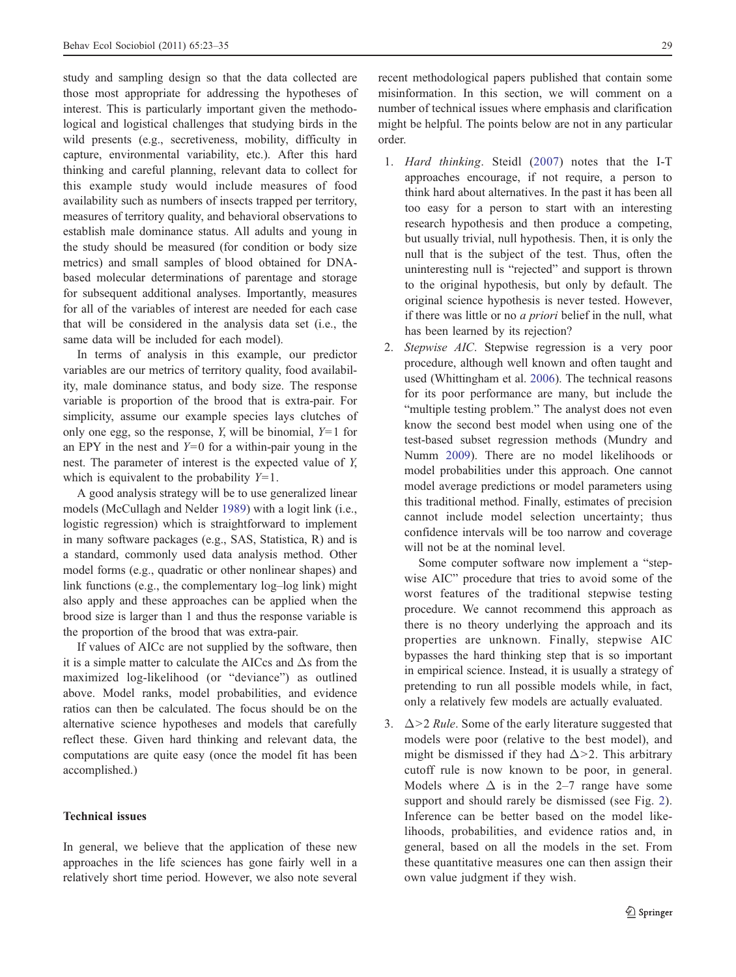study and sampling design so that the data collected are those most appropriate for addressing the hypotheses of interest. This is particularly important given the methodological and logistical challenges that studying birds in the wild presents (e.g., secretiveness, mobility, difficulty in capture, environmental variability, etc.). After this hard thinking and careful planning, relevant data to collect for this example study would include measures of food availability such as numbers of insects trapped per territory, measures of territory quality, and behavioral observations to establish male dominance status. All adults and young in the study should be measured (for condition or body size metrics) and small samples of blood obtained for DNAbased molecular determinations of parentage and storage for subsequent additional analyses. Importantly, measures for all of the variables of interest are needed for each case that will be considered in the analysis data set (i.e., the same data will be included for each model).

In terms of analysis in this example, our predictor variables are our metrics of territory quality, food availability, male dominance status, and body size. The response variable is proportion of the brood that is extra-pair. For simplicity, assume our example species lays clutches of only one egg, so the response, Y, will be binomial,  $Y=1$  for an EPY in the nest and  $Y=0$  for a within-pair young in the nest. The parameter of interest is the expected value of Y, which is equivalent to the probability  $Y=1$ .

A good analysis strategy will be to use generalized linear models (McCullagh and Nelder [1989](#page-12-0)) with a logit link (i.e., logistic regression) which is straightforward to implement in many software packages (e.g., SAS, Statistica, R) and is a standard, commonly used data analysis method. Other model forms (e.g., quadratic or other nonlinear shapes) and link functions (e.g., the complementary log–log link) might also apply and these approaches can be applied when the brood size is larger than 1 and thus the response variable is the proportion of the brood that was extra-pair.

If values of AICc are not supplied by the software, then it is a simple matter to calculate the AICcs and  $\Delta s$  from the maximized log-likelihood (or "deviance") as outlined above. Model ranks, model probabilities, and evidence ratios can then be calculated. The focus should be on the alternative science hypotheses and models that carefully reflect these. Given hard thinking and relevant data, the computations are quite easy (once the model fit has been accomplished.)

# Technical issues

In general, we believe that the application of these new approaches in the life sciences has gone fairly well in a relatively short time period. However, we also note several recent methodological papers published that contain some misinformation. In this section, we will comment on a number of technical issues where emphasis and clarification might be helpful. The points below are not in any particular order.

- 1. Hard thinking. Steidl ([2007\)](#page-12-0) notes that the I-T approaches encourage, if not require, a person to think hard about alternatives. In the past it has been all too easy for a person to start with an interesting research hypothesis and then produce a competing, but usually trivial, null hypothesis. Then, it is only the null that is the subject of the test. Thus, often the uninteresting null is "rejected" and support is thrown to the original hypothesis, but only by default. The original science hypothesis is never tested. However, if there was little or no a priori belief in the null, what has been learned by its rejection?
- 2. Stepwise AIC. Stepwise regression is a very poor procedure, although well known and often taught and used (Whittingham et al. [2006](#page-12-0)). The technical reasons for its poor performance are many, but include the "multiple testing problem." The analyst does not even know the second best model when using one of the test-based subset regression methods (Mundry and Numm [2009\)](#page-12-0). There are no model likelihoods or model probabilities under this approach. One cannot model average predictions or model parameters using this traditional method. Finally, estimates of precision cannot include model selection uncertainty; thus confidence intervals will be too narrow and coverage will not be at the nominal level.

Some computer software now implement a "stepwise AIC" procedure that tries to avoid some of the worst features of the traditional stepwise testing procedure. We cannot recommend this approach as there is no theory underlying the approach and its properties are unknown. Finally, stepwise AIC bypasses the hard thinking step that is so important in empirical science. Instead, it is usually a strategy of pretending to run all possible models while, in fact, only a relatively few models are actually evaluated.

3.  $\Delta > 2$  Rule. Some of the early literature suggested that models were poor (relative to the best model), and might be dismissed if they had  $\Delta > 2$ . This arbitrary cutoff rule is now known to be poor, in general. Models where  $\Delta$  is in the 2–7 range have some support and should rarely be dismissed (see Fig. [2](#page-2-0)). Inference can be better based on the model likelihoods, probabilities, and evidence ratios and, in general, based on all the models in the set. From these quantitative measures one can then assign their own value judgment if they wish.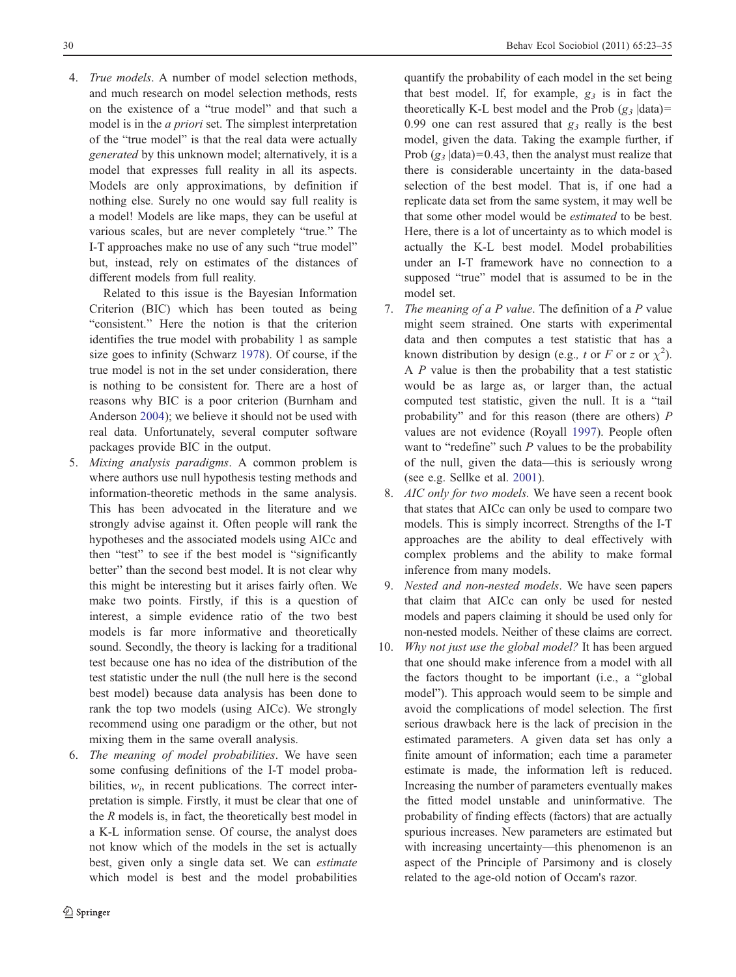4. True models. A number of model selection methods, and much research on model selection methods, rests on the existence of a "true model" and that such a model is in the a priori set. The simplest interpretation of the "true model" is that the real data were actually generated by this unknown model; alternatively, it is a model that expresses full reality in all its aspects. Models are only approximations, by definition if nothing else. Surely no one would say full reality is a model! Models are like maps, they can be useful at various scales, but are never completely "true." The I-T approaches make no use of any such "true model" but, instead, rely on estimates of the distances of different models from full reality.

Related to this issue is the Bayesian Information Criterion (BIC) which has been touted as being "consistent." Here the notion is that the criterion identifies the true model with probability 1 as sample size goes to infinity (Schwarz [1978\)](#page-12-0). Of course, if the true model is not in the set under consideration, there is nothing to be consistent for. There are a host of reasons why BIC is a poor criterion (Burnham and Anderson [2004](#page-11-0)); we believe it should not be used with real data. Unfortunately, several computer software packages provide BIC in the output.

- 5. Mixing analysis paradigms. A common problem is where authors use null hypothesis testing methods and information-theoretic methods in the same analysis. This has been advocated in the literature and we strongly advise against it. Often people will rank the hypotheses and the associated models using AICc and then "test" to see if the best model is "significantly better" than the second best model. It is not clear why this might be interesting but it arises fairly often. We make two points. Firstly, if this is a question of interest, a simple evidence ratio of the two best models is far more informative and theoretically sound. Secondly, the theory is lacking for a traditional test because one has no idea of the distribution of the test statistic under the null (the null here is the second best model) because data analysis has been done to rank the top two models (using AICc). We strongly recommend using one paradigm or the other, but not mixing them in the same overall analysis.
- 6. The meaning of model probabilities. We have seen some confusing definitions of the I-T model probabilities,  $w_i$ , in recent publications. The correct interpretation is simple. Firstly, it must be clear that one of the R models is, in fact, the theoretically best model in a K-L information sense. Of course, the analyst does not know which of the models in the set is actually best, given only a single data set. We can estimate which model is best and the model probabilities

quantify the probability of each model in the set being that best model. If, for example,  $g_3$  is in fact the theoretically K-L best model and the Prob  $(g_3 | data)$ = 0.99 one can rest assured that  $g_3$  really is the best model, given the data. Taking the example further, if Prob  $(g_3 | data) = 0.43$ , then the analyst must realize that there is considerable uncertainty in the data-based selection of the best model. That is, if one had a replicate data set from the same system, it may well be that some other model would be *estimated* to be best. Here, there is a lot of uncertainty as to which model is actually the K-L best model. Model probabilities under an I-T framework have no connection to a supposed "true" model that is assumed to be in the model set.

- 7. The meaning of a  $P$  value. The definition of a  $P$  value might seem strained. One starts with experimental data and then computes a test statistic that has a known distribution by design (e.g., t or F or z or  $\chi^2$ ). A  $P$  value is then the probability that a test statistic would be as large as, or larger than, the actual computed test statistic, given the null. It is a "tail probability" and for this reason (there are others) P values are not evidence (Royall [1997\)](#page-12-0). People often want to "redefine" such  $P$  values to be the probability of the null, given the data—this is seriously wrong (see e.g. Sellke et al. [2001](#page-12-0)).
- 8. AIC only for two models. We have seen a recent book that states that AICc can only be used to compare two models. This is simply incorrect. Strengths of the I-T approaches are the ability to deal effectively with complex problems and the ability to make formal inference from many models.
- 9. Nested and non-nested models. We have seen papers that claim that AICc can only be used for nested models and papers claiming it should be used only for non-nested models. Neither of these claims are correct.
- 10. Why not just use the global model? It has been argued that one should make inference from a model with all the factors thought to be important (i.e., a "global model"). This approach would seem to be simple and avoid the complications of model selection. The first serious drawback here is the lack of precision in the estimated parameters. A given data set has only a finite amount of information; each time a parameter estimate is made, the information left is reduced. Increasing the number of parameters eventually makes the fitted model unstable and uninformative. The probability of finding effects (factors) that are actually spurious increases. New parameters are estimated but with increasing uncertainty—this phenomenon is an aspect of the Principle of Parsimony and is closely related to the age-old notion of Occam's razor.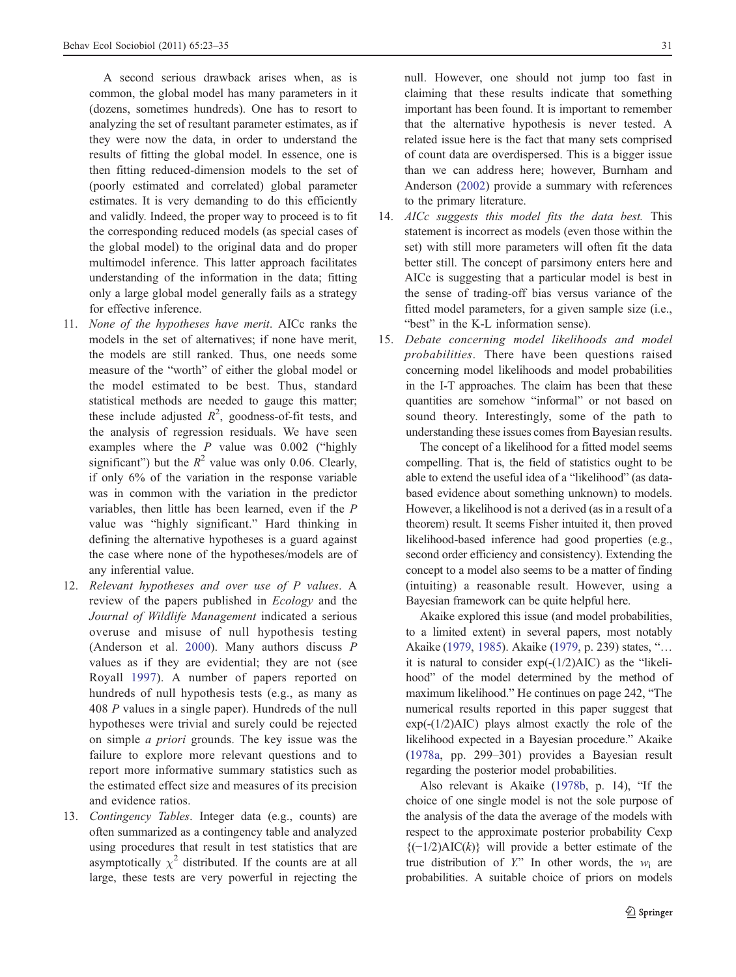A second serious drawback arises when, as is common, the global model has many parameters in it (dozens, sometimes hundreds). One has to resort to analyzing the set of resultant parameter estimates, as if they were now the data, in order to understand the results of fitting the global model. In essence, one is then fitting reduced-dimension models to the set of (poorly estimated and correlated) global parameter estimates. It is very demanding to do this efficiently and validly. Indeed, the proper way to proceed is to fit the corresponding reduced models (as special cases of the global model) to the original data and do proper multimodel inference. This latter approach facilitates understanding of the information in the data; fitting only a large global model generally fails as a strategy for effective inference.

- 11. None of the hypotheses have merit. AICc ranks the models in the set of alternatives; if none have merit, the models are still ranked. Thus, one needs some measure of the "worth" of either the global model or the model estimated to be best. Thus, standard statistical methods are needed to gauge this matter; these include adjusted  $R^2$ , goodness-of-fit tests, and the analysis of regression residuals. We have seen examples where the  $P$  value was 0.002 ("highly significant") but the  $R^2$  value was only 0.06. Clearly, if only 6% of the variation in the response variable was in common with the variation in the predictor variables, then little has been learned, even if the P value was "highly significant." Hard thinking in defining the alternative hypotheses is a guard against the case where none of the hypotheses/models are of any inferential value.
- 12. Relevant hypotheses and over use of P values. A review of the papers published in Ecology and the Journal of Wildlife Management indicated a serious overuse and misuse of null hypothesis testing (Anderson et al. [2000\)](#page-11-0). Many authors discuss P values as if they are evidential; they are not (see Royall [1997\)](#page-12-0). A number of papers reported on hundreds of null hypothesis tests (e.g., as many as 408 P values in a single paper). Hundreds of the null hypotheses were trivial and surely could be rejected on simple a priori grounds. The key issue was the failure to explore more relevant questions and to report more informative summary statistics such as the estimated effect size and measures of its precision and evidence ratios.
- 13. Contingency Tables. Integer data (e.g., counts) are often summarized as a contingency table and analyzed using procedures that result in test statistics that are asymptotically  $\chi^2$  distributed. If the counts are at all large, these tests are very powerful in rejecting the

null. However, one should not jump too fast in claiming that these results indicate that something important has been found. It is important to remember that the alternative hypothesis is never tested. A related issue here is the fact that many sets comprised of count data are overdispersed. This is a bigger issue than we can address here; however, Burnham and Anderson ([2002\)](#page-11-0) provide a summary with references to the primary literature.

- 14. AICc suggests this model fits the data best. This statement is incorrect as models (even those within the set) with still more parameters will often fit the data better still. The concept of parsimony enters here and AICc is suggesting that a particular model is best in the sense of trading-off bias versus variance of the fitted model parameters, for a given sample size (i.e., "best" in the K-L information sense).
- 15. Debate concerning model likelihoods and model probabilities. There have been questions raised concerning model likelihoods and model probabilities in the I-T approaches. The claim has been that these quantities are somehow "informal" or not based on sound theory. Interestingly, some of the path to understanding these issues comes from Bayesian results.

The concept of a likelihood for a fitted model seems compelling. That is, the field of statistics ought to be able to extend the useful idea of a "likelihood" (as databased evidence about something unknown) to models. However, a likelihood is not a derived (as in a result of a theorem) result. It seems Fisher intuited it, then proved likelihood-based inference had good properties (e.g., second order efficiency and consistency). Extending the concept to a model also seems to be a matter of finding (intuiting) a reasonable result. However, using a Bayesian framework can be quite helpful here.

Akaike explored this issue (and model probabilities, to a limited extent) in several papers, most notably Akaike ([1979](#page-11-0), [1985](#page-11-0)). Akaike [\(1979,](#page-11-0) p. 239) states, "… it is natural to consider  $exp(-(1/2)AIC)$  as the "likelihood" of the model determined by the method of maximum likelihood." He continues on page 242, "The numerical results reported in this paper suggest that exp(-(1/2)AIC) plays almost exactly the role of the likelihood expected in a Bayesian procedure." Akaike ([1978a](#page-11-0), pp. 299–301) provides a Bayesian result regarding the posterior model probabilities.

Also relevant is Akaike ([1978b,](#page-11-0) p. 14), "If the choice of one single model is not the sole purpose of the analysis of the data the average of the models with respect to the approximate posterior probability Cexp  ${(-1/2)AIC(k)}$  will provide a better estimate of the true distribution of Y." In other words, the  $w_i$  are probabilities. A suitable choice of priors on models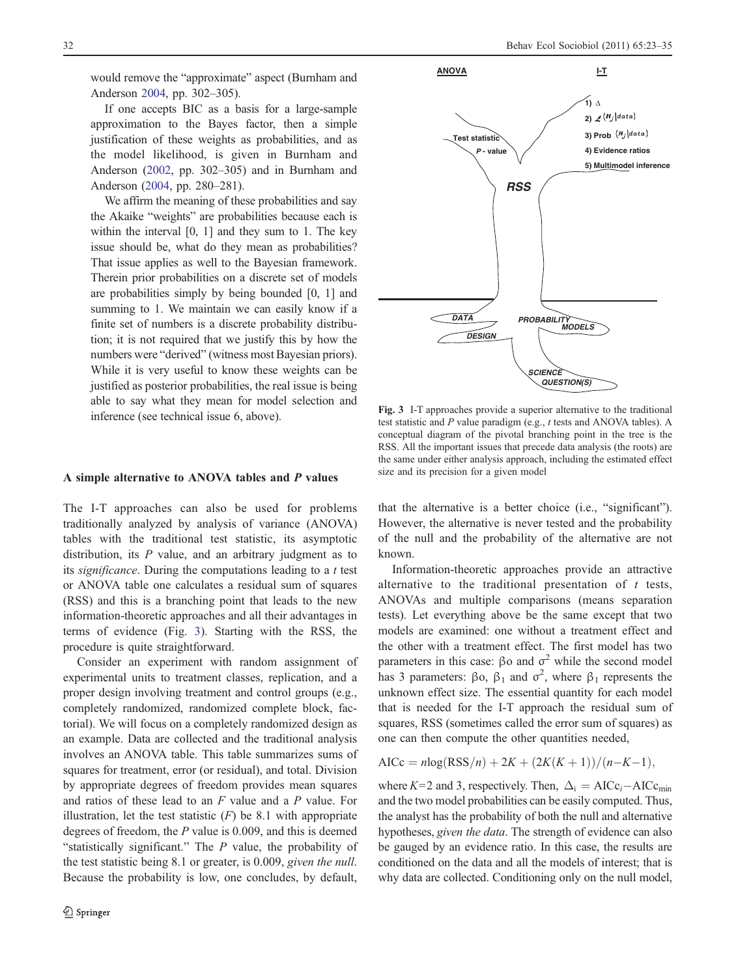<span id="page-9-0"></span>would remove the "approximate" aspect (Burnham and Anderson [2004](#page-11-0), pp. 302–305).

If one accepts BIC as a basis for a large-sample approximation to the Bayes factor, then a simple justification of these weights as probabilities, and as the model likelihood, is given in Burnham and Anderson ([2002](#page-11-0), pp. 302–305) and in Burnham and Anderson ([2004](#page-11-0), pp. 280–281).

We affirm the meaning of these probabilities and say the Akaike "weights" are probabilities because each is within the interval [0, 1] and they sum to 1. The key issue should be, what do they mean as probabilities? That issue applies as well to the Bayesian framework. Therein prior probabilities on a discrete set of models are probabilities simply by being bounded [0, 1] and summing to 1. We maintain we can easily know if a finite set of numbers is a discrete probability distribution; it is not required that we justify this by how the numbers were "derived" (witness most Bayesian priors). While it is very useful to know these weights can be justified as posterior probabilities, the real issue is being able to say what they mean for model selection and inference (see technical issue 6, above).

#### A simple alternative to ANOVA tables and P values

The I-T approaches can also be used for problems traditionally analyzed by analysis of variance (ANOVA) tables with the traditional test statistic, its asymptotic distribution, its  $P$  value, and an arbitrary judgment as to its *significance*. During the computations leading to a  $t$  test or ANOVA table one calculates a residual sum of squares (RSS) and this is a branching point that leads to the new information-theoretic approaches and all their advantages in terms of evidence (Fig. 3). Starting with the RSS, the procedure is quite straightforward.

Consider an experiment with random assignment of experimental units to treatment classes, replication, and a proper design involving treatment and control groups (e.g., completely randomized, randomized complete block, factorial). We will focus on a completely randomized design as an example. Data are collected and the traditional analysis involves an ANOVA table. This table summarizes sums of squares for treatment, error (or residual), and total. Division by appropriate degrees of freedom provides mean squares and ratios of these lead to an F value and a P value. For illustration, let the test statistic  $(F)$  be 8.1 with appropriate degrees of freedom, the P value is 0.009, and this is deemed "statistically significant." The P value, the probability of the test statistic being 8.1 or greater, is 0.009, given the null. Because the probability is low, one concludes, by default,



Fig. 3 I-T approaches provide a superior alternative to the traditional test statistic and P value paradigm (e.g., t tests and ANOVA tables). A conceptual diagram of the pivotal branching point in the tree is the RSS. All the important issues that precede data analysis (the roots) are the same under either analysis approach, including the estimated effect size and its precision for a given model

that the alternative is a better choice (i.e., "significant"). However, the alternative is never tested and the probability of the null and the probability of the alternative are not known.

Information-theoretic approaches provide an attractive alternative to the traditional presentation of  $t$  tests, ANOVAs and multiple comparisons (means separation tests). Let everything above be the same except that two models are examined: one without a treatment effect and the other with a treatment effect. The first model has two parameters in this case:  $\beta$ o and  $\sigma^2$  while the second model has 3 parameters: βo,  $β_1$  and  $σ^2$ , where  $β_1$  represents the unknown effect size. The essential quantity for each model that is needed for the I-T approach the residual sum of squares, RSS (sometimes called the error sum of squares) as one can then compute the other quantities needed,

$$
AICc = n \log(RSS/n) + 2K + (2K(K+1))/(n-K-1),
$$

where  $K=2$  and 3, respectively. Then,  $\Delta_i = AICc_i-AICc_{\text{min}}$ <br>and the two model probabilities can be easily computed. Thus and the two model probabilities can be easily computed. Thus, the analyst has the probability of both the null and alternative hypotheses, *given the data*. The strength of evidence can also be gauged by an evidence ratio. In this case, the results are conditioned on the data and all the models of interest; that is why data are collected. Conditioning only on the null model,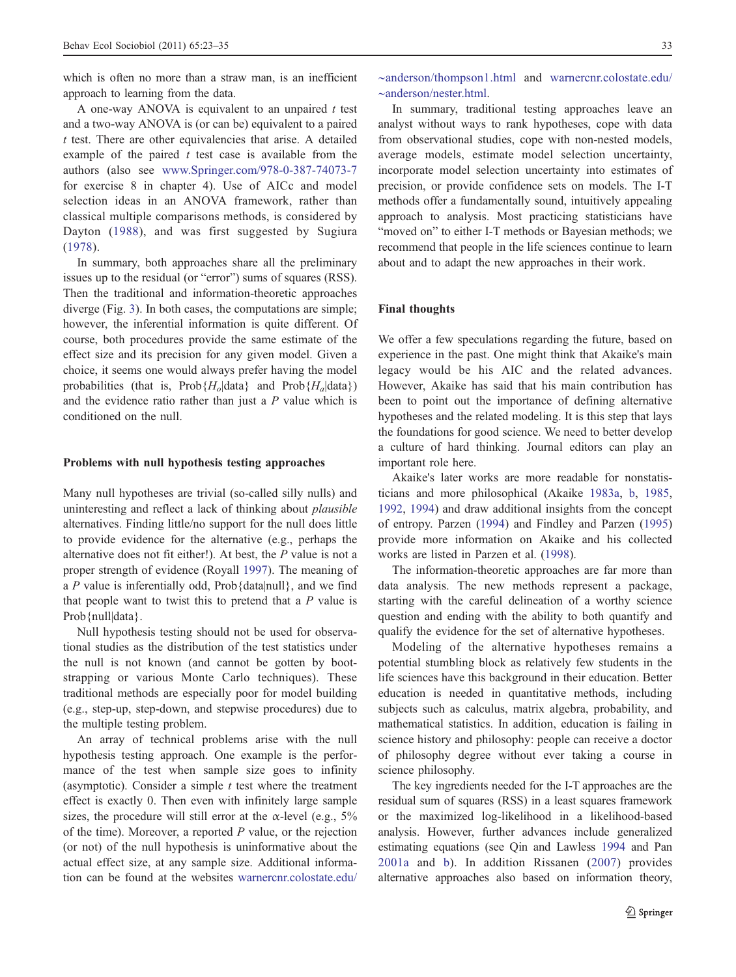which is often no more than a straw man, is an inefficient approach to learning from the data.

A one-way ANOVA is equivalent to an unpaired  $t$  test and a two-way ANOVA is (or can be) equivalent to a paired  $t$  test. There are other equivalencies that arise. A detailed example of the paired  $t$  test case is available from the authors (also see [www.Springer.com/978-0-387-74073-7](http://www.Springer.com/978-0-387-74073-7) for exercise 8 in chapter 4). Use of AICc and model selection ideas in an ANOVA framework, rather than classical multiple comparisons methods, is considered by Dayton ([1988](#page-11-0)), and was first suggested by Sugiura [\(1978\)](#page-12-0).

In summary, both approaches share all the preliminary issues up to the residual (or "error") sums of squares (RSS). Then the traditional and information-theoretic approaches diverge (Fig. [3\)](#page-9-0). In both cases, the computations are simple; however, the inferential information is quite different. Of course, both procedures provide the same estimate of the effect size and its precision for any given model. Given a choice, it seems one would always prefer having the model probabilities (that is,  $Prob{H_o|data}$  and  $Prob{H_o|data}$ ) and the evidence ratio rather than just a  $P$  value which is conditioned on the null.

#### Problems with null hypothesis testing approaches

Many null hypotheses are trivial (so-called silly nulls) and uninteresting and reflect a lack of thinking about plausible alternatives. Finding little/no support for the null does little to provide evidence for the alternative (e.g., perhaps the alternative does not fit either!). At best, the P value is not a proper strength of evidence (Royall [1997\)](#page-12-0). The meaning of a P value is inferentially odd,  $Prob$ {data|null}, and we find that people want to twist this to pretend that a  $P$  value is Prob{null|data}.

Null hypothesis testing should not be used for observational studies as the distribution of the test statistics under the null is not known (and cannot be gotten by bootstrapping or various Monte Carlo techniques). These traditional methods are especially poor for model building (e.g., step-up, step-down, and stepwise procedures) due to the multiple testing problem.

An array of technical problems arise with the null hypothesis testing approach. One example is the performance of the test when sample size goes to infinity (asymptotic). Consider a simple  $t$  test where the treatment effect is exactly 0. Then even with infinitely large sample sizes, the procedure will still error at the  $\alpha$ -level (e.g., 5%) of the time). Moreover, a reported  $P$  value, or the rejection (or not) of the null hypothesis is uninformative about the actual effect size, at any sample size. Additional information can be found at the websites [warnercnr.colostate.edu/](http://warnercnr.colostate.edu/<anderson/thompson1.html)

∼[anderson/thompson1.html](http://warnercnr.colostate.edu/<anderson/thompson1.html) and [warnercnr.colostate.edu/](http://warnercnr.colostate.edu/<anderson/nester.html) ∼[anderson/nester.html](http://warnercnr.colostate.edu/<anderson/nester.html).

In summary, traditional testing approaches leave an analyst without ways to rank hypotheses, cope with data from observational studies, cope with non-nested models, average models, estimate model selection uncertainty, incorporate model selection uncertainty into estimates of precision, or provide confidence sets on models. The I-T methods offer a fundamentally sound, intuitively appealing approach to analysis. Most practicing statisticians have "moved on" to either I-T methods or Bayesian methods; we recommend that people in the life sciences continue to learn about and to adapt the new approaches in their work.

# Final thoughts

We offer a few speculations regarding the future, based on experience in the past. One might think that Akaike's main legacy would be his AIC and the related advances. However, Akaike has said that his main contribution has been to point out the importance of defining alternative hypotheses and the related modeling. It is this step that lays the foundations for good science. We need to better develop a culture of hard thinking. Journal editors can play an important role here.

Akaike's later works are more readable for nonstatisticians and more philosophical (Akaike [1983a,](#page-11-0) [b](#page-11-0), [1985,](#page-11-0) [1992](#page-11-0), [1994\)](#page-11-0) and draw additional insights from the concept of entropy. Parzen ([1994\)](#page-12-0) and Findley and Parzen [\(1995](#page-11-0)) provide more information on Akaike and his collected works are listed in Parzen et al. [\(1998](#page-12-0)).

The information-theoretic approaches are far more than data analysis. The new methods represent a package, starting with the careful delineation of a worthy science question and ending with the ability to both quantify and qualify the evidence for the set of alternative hypotheses.

Modeling of the alternative hypotheses remains a potential stumbling block as relatively few students in the life sciences have this background in their education. Better education is needed in quantitative methods, including subjects such as calculus, matrix algebra, probability, and mathematical statistics. In addition, education is failing in science history and philosophy: people can receive a doctor of philosophy degree without ever taking a course in science philosophy.

The key ingredients needed for the I-T approaches are the residual sum of squares (RSS) in a least squares framework or the maximized log-likelihood in a likelihood-based analysis. However, further advances include generalized estimating equations (see Qin and Lawless [1994](#page-12-0) and Pan [2001a](#page-12-0) and [b](#page-12-0)). In addition Rissanen ([2007](#page-12-0)) provides alternative approaches also based on information theory,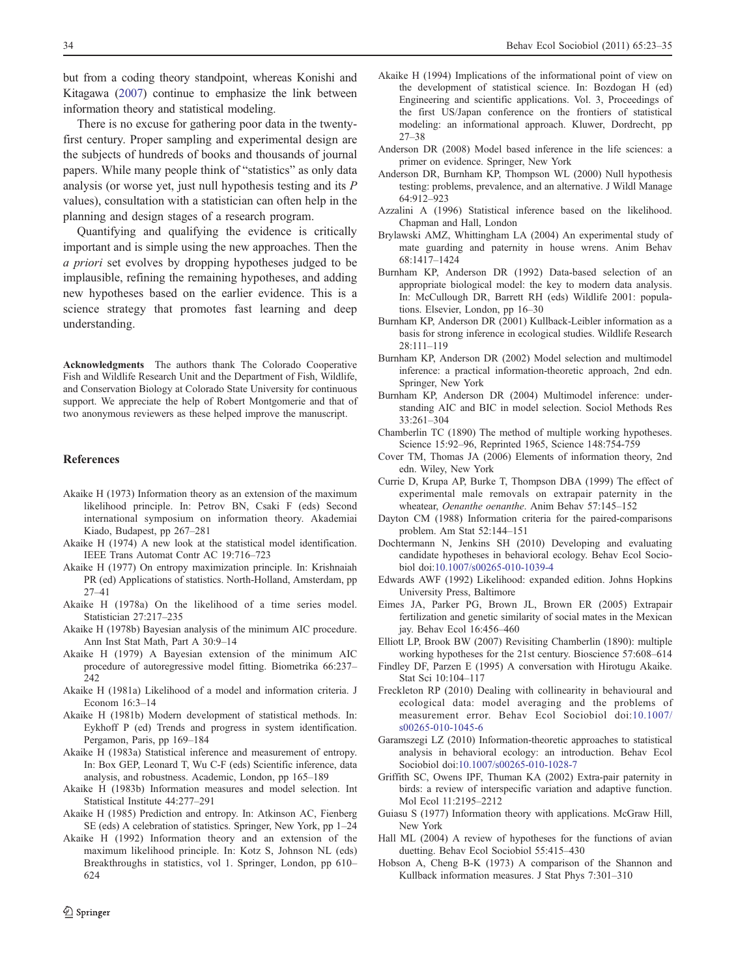<span id="page-11-0"></span>but from a coding theory standpoint, whereas Konishi and Kitagawa [\(2007\)](#page-12-0) continue to emphasize the link between information theory and statistical modeling.

There is no excuse for gathering poor data in the twentyfirst century. Proper sampling and experimental design are the subjects of hundreds of books and thousands of journal papers. While many people think of "statistics" as only data analysis (or worse yet, just null hypothesis testing and its P values), consultation with a statistician can often help in the planning and design stages of a research program.

Quantifying and qualifying the evidence is critically important and is simple using the new approaches. Then the a priori set evolves by dropping hypotheses judged to be implausible, refining the remaining hypotheses, and adding new hypotheses based on the earlier evidence. This is a science strategy that promotes fast learning and deep understanding.

Acknowledgments The authors thank The Colorado Cooperative Fish and Wildlife Research Unit and the Department of Fish, Wildlife, and Conservation Biology at Colorado State University for continuous support. We appreciate the help of Robert Montgomerie and that of two anonymous reviewers as these helped improve the manuscript.

### **References**

- Akaike H (1973) Information theory as an extension of the maximum likelihood principle. In: Petrov BN, Csaki F (eds) Second international symposium on information theory. Akademiai Kiado, Budapest, pp 267–281
- Akaike H (1974) A new look at the statistical model identification. IEEE Trans Automat Contr AC 19:716–723
- Akaike H (1977) On entropy maximization principle. In: Krishnaiah PR (ed) Applications of statistics. North-Holland, Amsterdam, pp 27–41
- Akaike H (1978a) On the likelihood of a time series model. Statistician 27:217–235
- Akaike H (1978b) Bayesian analysis of the minimum AIC procedure. Ann Inst Stat Math, Part A 30:9–14
- Akaike H (1979) A Bayesian extension of the minimum AIC procedure of autoregressive model fitting. Biometrika 66:237–  $242$
- Akaike H (1981a) Likelihood of a model and information criteria. J Econom 16:3–14
- Akaike H (1981b) Modern development of statistical methods. In: Eykhoff P (ed) Trends and progress in system identification. Pergamon, Paris, pp 169–184
- Akaike H (1983a) Statistical inference and measurement of entropy. In: Box GEP, Leonard T, Wu C-F (eds) Scientific inference, data analysis, and robustness. Academic, London, pp 165–189
- Akaike H (1983b) Information measures and model selection. Int Statistical Institute 44:277–291
- Akaike H (1985) Prediction and entropy. In: Atkinson AC, Fienberg SE (eds) A celebration of statistics. Springer, New York, pp 1–24
- Akaike H (1992) Information theory and an extension of the maximum likelihood principle. In: Kotz S, Johnson NL (eds) Breakthroughs in statistics, vol 1. Springer, London, pp 610– 624
- Akaike H (1994) Implications of the informational point of view on the development of statistical science. In: Bozdogan H (ed) Engineering and scientific applications. Vol. 3, Proceedings of the first US/Japan conference on the frontiers of statistical modeling: an informational approach. Kluwer, Dordrecht, pp 27–38
- Anderson DR (2008) Model based inference in the life sciences: a primer on evidence. Springer, New York
- Anderson DR, Burnham KP, Thompson WL (2000) Null hypothesis testing: problems, prevalence, and an alternative. J Wildl Manage 64:912–923
- Azzalini A (1996) Statistical inference based on the likelihood. Chapman and Hall, London
- Brylawski AMZ, Whittingham LA (2004) An experimental study of mate guarding and paternity in house wrens. Anim Behav 68:1417–1424
- Burnham KP, Anderson DR (1992) Data-based selection of an appropriate biological model: the key to modern data analysis. In: McCullough DR, Barrett RH (eds) Wildlife 2001: populations. Elsevier, London, pp 16–30
- Burnham KP, Anderson DR (2001) Kullback-Leibler information as a basis for strong inference in ecological studies. Wildlife Research 28:111–119
- Burnham KP, Anderson DR (2002) Model selection and multimodel inference: a practical information-theoretic approach, 2nd edn. Springer, New York
- Burnham KP, Anderson DR (2004) Multimodel inference: understanding AIC and BIC in model selection. Sociol Methods Res 33:261–304
- Chamberlin TC (1890) The method of multiple working hypotheses. Science 15:92–96, Reprinted 1965, Science 148:754-759
- Cover TM, Thomas JA (2006) Elements of information theory, 2nd edn. Wiley, New York
- Currie D, Krupa AP, Burke T, Thompson DBA (1999) The effect of experimental male removals on extrapair paternity in the wheatear, Oenanthe oenanthe. Anim Behav 57:145–152
- Dayton CM (1988) Information criteria for the paired-comparisons problem. Am Stat 52:144–151
- Dochtermann N, Jenkins SH (2010) Developing and evaluating candidate hypotheses in behavioral ecology. Behav Ecol Sociobiol doi:[10.1007/s00265-010-1039-4](http://dx.doi.org/10.1007/s00265-010-1039-4)
- Edwards AWF (1992) Likelihood: expanded edition. Johns Hopkins University Press, Baltimore
- Eimes JA, Parker PG, Brown JL, Brown ER (2005) Extrapair fertilization and genetic similarity of social mates in the Mexican jay. Behav Ecol 16:456–460
- Elliott LP, Brook BW (2007) Revisiting Chamberlin (1890): multiple working hypotheses for the 21st century. Bioscience 57:608–614
- Findley DF, Parzen E (1995) A conversation with Hirotugu Akaike. Stat Sci 10:104–117
- Freckleton RP (2010) Dealing with collinearity in behavioural and ecological data: model averaging and the problems of measurement error. Behav Ecol Sociobiol doi:[10.1007/](http://dx.doi.org/10.1007/s00265-010-1045-6) [s00265-010-1045-6](http://dx.doi.org/10.1007/s00265-010-1045-6)
- Garamszegi LZ (2010) Information-theoretic approaches to statistical analysis in behavioral ecology: an introduction. Behav Ecol Sociobiol doi[:10.1007/s00265-010-1028-7](http://dx.doi.org/10.1007/s00265-010-1028-7)
- Griffith SC, Owens IPF, Thuman KA (2002) Extra-pair paternity in birds: a review of interspecific variation and adaptive function. Mol Ecol 11:2195–2212
- Guiasu S (1977) Information theory with applications. McGraw Hill, New York
- Hall ML (2004) A review of hypotheses for the functions of avian duetting. Behav Ecol Sociobiol 55:415–430
- Hobson A, Cheng B-K (1973) A comparison of the Shannon and Kullback information measures. J Stat Phys 7:301–310